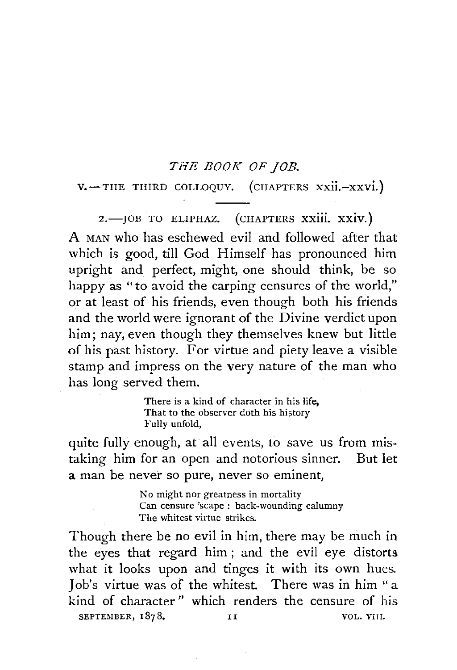#### *THE BOOK OF JOB.*

V.-THE THIRD COLLOQUY. (CHAPTERS xxii.-xxvi.)

2.- JOB TO ELIPHAZ. (CHAPTERS XXIII. XXIV.) A MAN who has eschewed evil and followed after that which is good, till God Himself has pronounced him upright and perfect, might, one should think, be so happy as "to avoid the carping censures of the world," or at least of his friends, even though both his friends and the world were ignorant of the Divine verdict upon him; nay, even though they themselves knew but little of his past history. For virtue and piety leave a visible stamp and impress on the very nature of the man who has long served them.

> There is a kind of character in his life, That to the observer doth his history Fully unfold,

quite fully enough, at all events, to save us from mistaking him for an open and notorious sinner. But let a man be never so pure, never so eminent,

> No might nor greatness in mortality Can censure 'scape : back-wounding calumny The whitest virtue strikes.

Though there be no evil in him, there may be much in the eyes that regard him ; and the evil eye distorts what it looks upon and tinges it with its own hues. Job's virtue was of the whitest. There was in him "a kind of character " which renders the censure of his SEPTEMBER,  $1878.$  II VOL. VIII.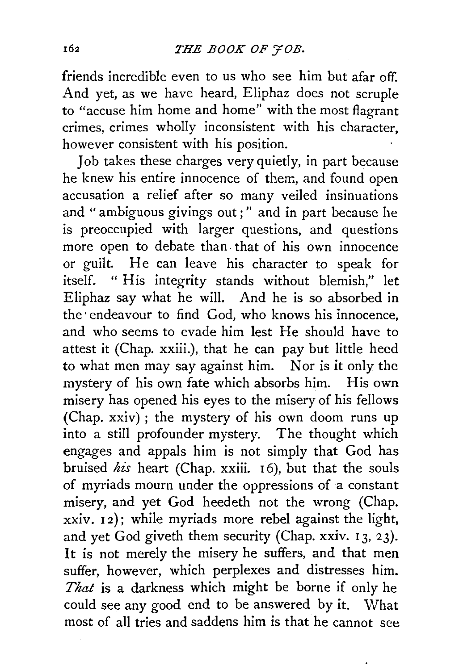friends incredible even to us who see him but afar off. And yet, as we have heard, Eliphaz does not scruple to "accuse him home and home" with the most flagrant crimes, crimes wholly inconsistent with his character, however consistent with his position.

Job takes these charges very quietly, in part because he knew his entire innocence of them, and found open accusation a relief after so many veiled insinuations and " ambiguous givings out; " and in part because he is preoccupied with larger questions, and questions more open to debate than. that of his own innocence or guilt. He can leave his character to speak for itself. " His integrity stands without blemish," let Eliphaz say what he will. And he is so absorbed in the endeavour to find God, who knows his innocence, and who seems to evade him lest He should have to attest it (Chap. xxiii.), that he can pay but little heed to what men may say against him. Nor is it only the mystery of his own fate which absorbs him. His own misery has opened his eyes to the misery of his fellows (Chap. xxiv) ; the mystery of his own doom runs up into a still profounder mystery. The thought which engages and appals him is not simply that God has bruised *his* heart (Chap. xxiii. 16), but that the souls of myriads mourn under the oppressions of a constant misery, and yet God heedeth not the wrong (Chap. xxiv. 12); while myriads more rebel against the light, and yet God giveth them security (Chap. xxiv. I 3, 23). It is not merely the misery he suffers, and that men suffer, however, which perplexes and distresses him. *That* is a darkness which might be borne if only he could see any good end to be answered by it. What most of all tries and saddens him is that he cannot see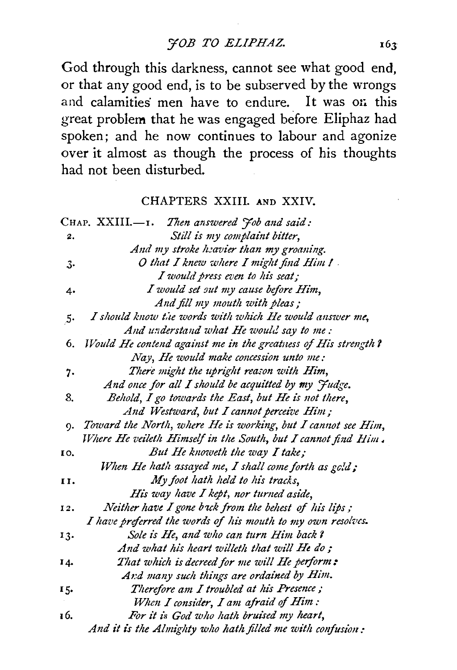*YOB TO ELIPHAZ.* 

God through this darkness, cannot see what good end, or that any good end, is to be subserved by the wrongs and calamities men have to endure. It was on this great problem that he was engaged before Eliphaz had spoken; and he now continues to labour and agonize over it almost as though the process of his thoughts had not been disturbed.

### CHAPTERS XXIII. AND XXIV.

|     | CHAP. $XXIII$ — $I$ . Then answered $\gamma$ ob and said:       |
|-----|-----------------------------------------------------------------|
| 2.  | Still is my complaint bitter,                                   |
|     | And my stroke heavier than my groaning.                         |
| з.  | O that I knew where I might find Him !                          |
|     | I would press even to his seat;                                 |
| 4.  | I would set out my cause before Him,                            |
|     | And fill my mouth with pleas;                                   |
| 5.  | I should know the words with which He would answer me,          |
|     | And understand what He would say to me:                         |
| 6.  | Would He contend against me in the greatuess of His strength?   |
|     | Nay, He would make concession unto me:                          |
| 7.  | There might the upright reason with Him,                        |
|     | And once for all I should be acquitted by my Judge.             |
| 8.  | Behold, I go towards the East, but He is not there,             |
|     | And Westward, but I cannot perceive Him;                        |
|     | 9. Toward the North, where He is working, but I cannot see Him, |
|     | Where He veileth Himself in the South, but I cannot find Him.   |
| 10. | But He knoweth the way I take;                                  |
|     | When He hath assayed me, I shall come forth as gold;            |
| 11. | My foot hath held to his tracks,                                |
|     | His way have I kept, nor turned aside,                          |
| 12. | Neither have I gone back from the behest of his lips;           |
|     | I have preferred the words of his mouth to my own resolves.     |
| 13. | Sole is He, and who can turn Him back?                          |
|     | And what his heart willeth that will He do;                     |
| 14. | That which is decreed for me will He perform:                   |
|     | And many such things are ordained by Him.                       |
| 15. | Therefore am I troubled at his Presence;                        |
|     | When I consider, I am afraid of Him:                            |
| 16. | For it is God who hath bruised my heart,                        |
|     | And it is the Almighty who hath filled me with confusion:       |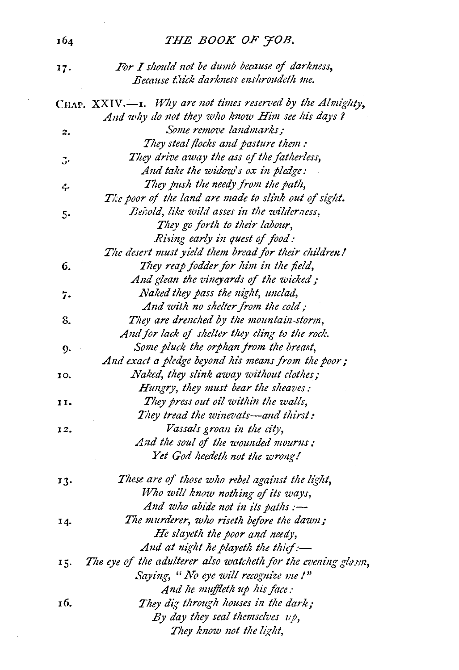# *THE BOOK OF J'OB.*

| 17. | For I should not be dumb because of darkness, |
|-----|-----------------------------------------------|
|     | Because thick darkness enshroudeth me.        |

|     | Because thick darkness enshroudeth me.                            |
|-----|-------------------------------------------------------------------|
|     | CHAP. XXIV.-I. Why are not times reserved by the Almighty,        |
|     | And why do not they who know Him see his days ?                   |
| 2.  | Some remove landmarks;                                            |
|     | They steal flocks and pasture them:                               |
| з.  | They drive away the ass of the fatherless,                        |
|     | And take the widow's ox in pledge:                                |
| ሩ   | They push the needy from the path,                                |
|     | The poor of the land are made to slink out of sight.              |
| 5.  | Benold, like wild asses in the wilderness,                        |
|     | They go forth to their labour,                                    |
|     | Rising early in quest of food:                                    |
|     | The desert must yield them bread for their children!              |
| 6.  | They reap fodder for him in the field,                            |
|     | And glean the vineyards of the wicked;                            |
| 7.  | Naked they pass the night, unclad,                                |
|     | And with no shelter from the cold;                                |
| 8.  | They are drenched by the mountain-storm,                          |
|     | And for lack of shelter they cling to the rock.                   |
| 9.  | Some pluck the orphan from the breast,                            |
|     | And exact a pledge beyond his means from the poor;                |
| 10. | Naked, they slink away without clothes;                           |
|     | Hungry, they must bear the sheaves:                               |
| 11. | They press out oil within the walls,                              |
|     | They tread the winevats-and thirst:                               |
| 12. | Vassals groan in the city,                                        |
|     | And the soul of the wounded mourns:                               |
|     | Yet God heedeth not the wrong!                                    |
| 13. | These are of those who rebel against the light,                   |
|     | Who will know nothing of its ways,                                |
|     | And who abide not in its paths :-                                 |
| 14. | The murderer, who riseth before the dawn;                         |
|     | He slayeth the poor and needy,                                    |
|     | And at night he playeth the thief:-                               |
|     | 15. The eye of the adulterer also watcheth for the evening glosm, |
|     | Saying, "No eye will recognize me !"                              |
|     | And he muffleth up his face:                                      |
| 16. | They dig through houses in the dark;                              |
|     | By day they seal themselves $u$ p,                                |
|     | They know not the light,                                          |

 $\bar{z}$ 

 $\sim$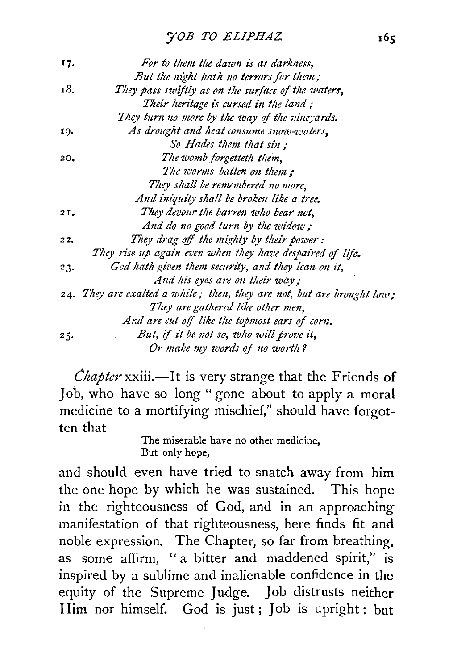# *'JOB TO ELIPHAZ.*

| 17. | For to them the dawn is as darkness,                                   |
|-----|------------------------------------------------------------------------|
|     | But the night hath no terrors for them;                                |
| 18. | They pass swiftly as on the surface of the waters,                     |
|     | Their heritage is cursed in the land;                                  |
|     | They turn no more by the way of the vineyards.                         |
| 19. | As drought and heat consume snow-waters,                               |
|     | So Hades them that sin :                                               |
| 20. | The womb forgetteth them,                                              |
|     | The worms batten on them :                                             |
|     | They shall be remembered no more,                                      |
|     | And iniquity shall be broken like a tree.                              |
| 21. | They devour the barren who bear not,                                   |
|     | And do no good turn by the widow;                                      |
| 22. | They drag off the mighty by their power:                               |
|     | They rise up again even when they have despaired of life.              |
| 23. | God hath given them security, and they lean on it,                     |
|     | And his eyes are on their way;                                         |
|     | 24. They are exalted a while; then, they are not, but are brought low; |
|     | They are gathered like other men,                                      |
|     | And are cut off like the topmost ears of corn.                         |
| 25. | But, if it be not so, who will prove it,                               |
|     | Or make my words of no worth?                                          |

*Chapter* xxiii.—It is very strange that the Friends of Job, who have so long "gone about to apply a moral medicine to a mortifying mischief," should have forgotten that

The miserable have no other medicine, But only hope,

and should even have tried to snatch away from him the one hope by which he was sustained. This hope in the righteousness of God, and in an approaching manifestation of that righteousness, here finds fit and noble expression. The Chapter, so far from breathing, as some affirm, ''a bitter and maddened spirit," is inspired by a sublime and inalienable confidence in the equity of the Supreme Judge. Job distrusts neither Him nor himself. God is just; Job is upright: but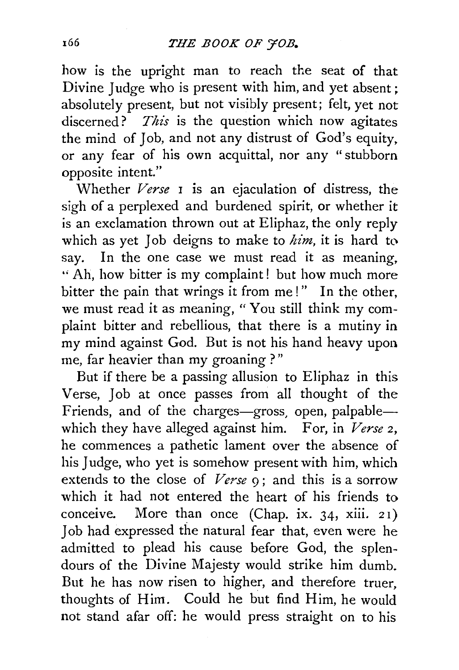how is the upright man to reach the seat of that Divine Judge who is present with him, and yet absent: absolutely present, but not visibly present; felt, yet not discerned? *This* is the question which now agitates the mind of Job, and not any distrust of God's equity, or any fear of his own acquittal, nor any "stubborn opposite intent."

Whether *Verse* 1 is an ejaculation of distress, the sigh of a perplexed and burdened spirit, or whether it is an exclamation thrown out at Eliphaz, the only reply which as yet Job deigns to make to *him,* it is hard to say. In the one case we must read it as meaning, " Ah, how bitter is my complaint! but how much more bitter the pain that wrings it from me!" In the other, we must read it as meaning, "You still think my complaint bitter and rebellious, that there is a mutiny in my mind against God. But is not his hand heavy upon me, far heavier than my groaning ? "

But if there be a passing allusion to Eliphaz in this Verse, Job at once passes from all thought of the Friends, and of the charges-gross, open, palpablewhich they have alleged against him. For, in *Verse* 2, he commences a pathetic lament over the absence of his Judge, who yet is somehow present with him, which extends to the close of *Verse* 9; and this is a sorrow which it had not entered the heart of his friends to conceive. More than once (Chap. ix. 34, xiii. 21) Job had expressed the natural fear that, even were he admitted to plead his cause before God, the splendours of the Divine Majesty would strike him dumb. But he has now risen to higher, and therefore truer, thoughts of Him. Could he but find Him, he would not stand afar off: he would press straight on to his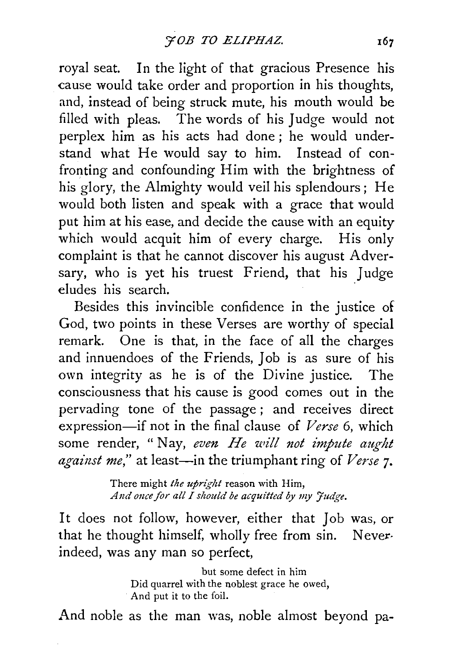royal seat. In the light of that gracious Presence his cause would take order and proportion in his thoughts, and, instead of being struck mute, his mouth would be filled with pleas. The words of his Judge would not perplex him as his acts had done ; he would understand what He would say to him. Instead of confronting and confounding Him with the brightness of his glory, the Almighty would veil his splendours; He would both listen and speak with a grace that would put him at his ease, and decide the cause with an equity which would acquit him of every charge. His only complaint is that he cannot discover his august Adversary, who is yet his truest Friend, that his Judge eludes his search.

Besides this invincible confidence in the justice of God, two points in these Verses are worthy of special remark. One is that, in the face of all the charges and innuendoes of the Friends, Job is as sure of his own integrity as he is of the Divine justice. The consciousness that his cause is good comes out in the pervading tone of the passage ; and receives direct expression-if not in the final clause of *Verse* 6, which some render, "Nay, even He will not impute aught *against me,"* at least-in the triumphant ring of *Verse* 7·

> There might *the upright* reason with Him, And once for all I should be acquitted by my Judge.

It does not follow, however, either that Job was, or that he thought himself, wholly free from sin. Neverindeed, was any man so perfect,

> but some defect in him Did quarrel with the noblest grace he owed, And put it to the foil.

And noble as the man was, noble almost beyond pa-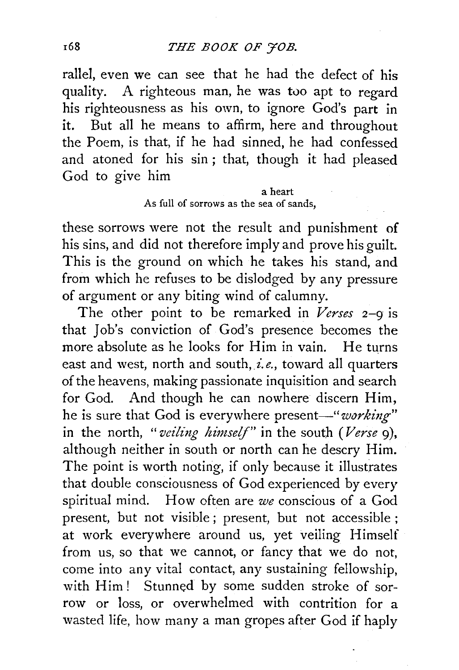rallel, even we can see that he had the defect of his quality. A righteous man, he was too apt to regard his righteousness as his own, to ignore God's part in it. But all he means to affirm, here and throughout the Poem, is that, if he had sinned, he had confessed and atoned for his sin ; that, though it had pleased God to give him

#### a heart As full of sorrows as the sea of sands,

these sorrows were not the result and punishment of his sins, and did not therefore imply and prove his guilt. This is the ground on which he takes his stand, and from which he refuses to be dislodged by any pressure of argument or any biting wind of calumny.

The other point to be remarked in *Verses* 2-9 is that Job's conviction of God's presence becomes the more absolute as he looks for Him in vain. He turns east and west, north and south, *i.e.,* toward all quarters of the heavens, making passionate inquisition and search for God. And though he can nowhere discern Him, he is sure that God is everywhere present-"working" in the north, *"veiling himself"* in the south *(Verse* g), although neither in south or north can he descry Him. The point is worth noting, if only because it illustrates that double consciousness of God experienced by every spiritual mind. How often are *we* conscious of a God present, but not visible ; present, but not accessible ; at work everywhere around us, yet veiling Himself from us, so that we cannot, or fancy that we do not, come into any vital contact, any sustaining fellowship, with Him ! Stunned by some sudden stroke of sorrow or loss, or overwhelmed with contrition for a wasted life, how many a man gropes after God if haply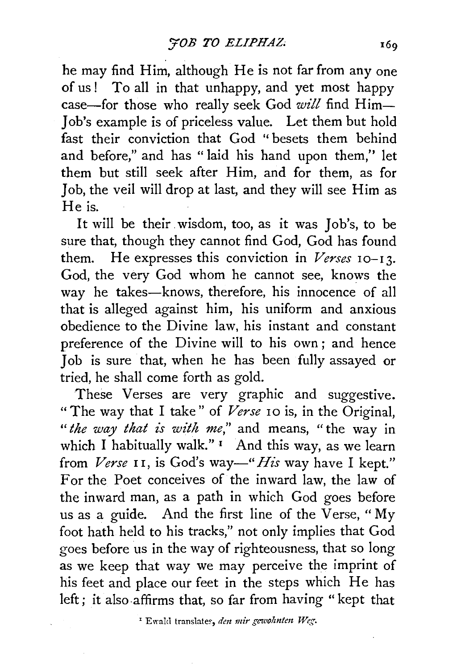he may find Him, although He is not far from any one of us! To all in that unhappy, and yet most happy case-for those who really seek God will find Him-Iob's example is of priceless value. Let them but hold fast their conviction that God '' besets them behind and before," and has "laid his hand upon them,'' let them but still seek after Him, and for them, as for 1 ob, the veil will drop at last, and they will see Him as He is.

It will be their . wisdom, too, as it was *1* ob's, to be sure that, though they cannot find God, God has found them. He expresses this conviction in *Verses* 10-13. God, the very God whom he cannot see, knows the way he takes-knows, therefore, his innocence of all that is alleged against him, his uniform and anxious obedience to the Divine law, his instant and constant preference of the Divine will to his own ; and hence 1 ob is sure that, when he has been fully assayed or tried, he shall come forth as gold.

These Verses are very graphic and suggestive. "The way that I take" of *Verse* 10 is, in the Original, *"the way that is with me,"* and means, "the way in which I habitually walk."  $\frac{1}{1}$  And this way, as we learn from *Verse* II, is God's way-" *His* way have I kept." For the Poet conceives of the inward law, the law of the inward man, as a path in which God goes before us as a guide. And the first line of the Verse, " My foot hath held to his tracks," not only implies that God goes before us in the way of righteousness, that so long as we keep that way we may perceive the imprint of his feet and place our feet in the steps which He has left; it also-affirms that, so far from having "kept that

<sup>1</sup> Ewald translates, *den mir gewohnten Weg*.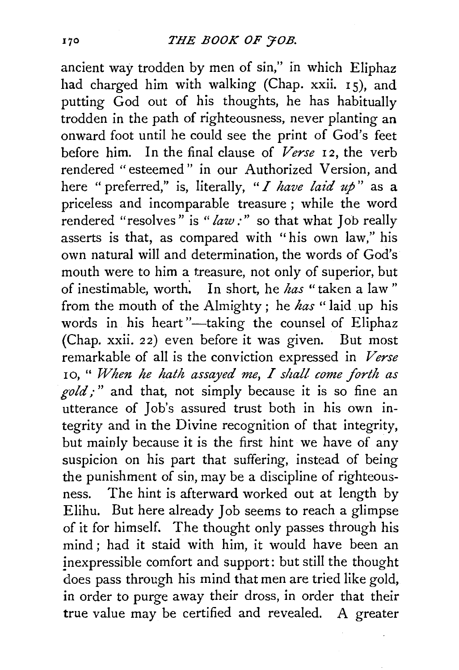ancient way trodden by men of sin," in which Eliphaz had charged him with walking (Chap. xxii.  $15$ ), and putting God out of his thoughts, he has habitually trodden in the path of righteousness, never planting an onward foot until he could see the print of God's feet before him. In the final clause of *Verse* 12, the verb rendered "esteemed" in our Authorized Version, and here "preferred," is, literally, *"I have laid up"* as a priceless and incomparable treasure ; while the word rendered "resolves" is *"law:"* so that what Job really asserts is that, as compared with "his own law," his own natural will and determination, the words of God's mouth were to him a treasure, not only of superior, but of inestimable, worth: In short, he *has* "taken a law " from the mouth of the Almighty ; he *has* " laid up his words in his heart"-taking the counsel of Eliphaz (Chap. xxii. *22)* even before it was given. But most remarkable of all is the conviction expressed in *Verse*  10, " When he hath assayed me, I shall come forth as *gold;* " and that, not simply because it is so fine an utterance of Job's assured trust both in his own integrity and in the Divine recognition of that integrity, but mainly because it is the first hint we have of any suspicion on his part that suffering, instead of being the punishment of sin, may be a discipline of righteousness. The hint is afterward worked out at length by Elihu. But here already Job seems to reach a glimpse of it for himself. The thought only passes through his mind ; had it staid with him, it would have been an inexpressible comfort and support: but still the thought does pass through his mind that men are tried like gold, in order to purge away their dross, in order that their true value may be certified and revealed. A greater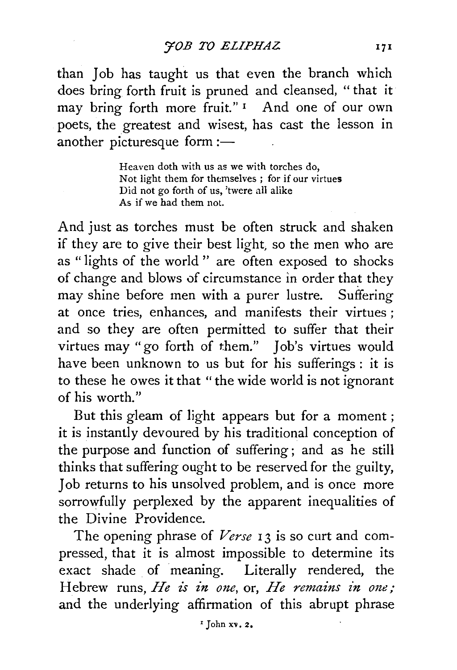than Job has taught us that even the branch which does bring forth fruit is pruned and cleansed, " that it may bring forth more fruit."<sup>1</sup> And one of our own poets, the greatest and wisest, has cast the lesson in another picturesque form: $-$ 

> Heaven doth with us as we with torches do, Not light them for themselves ; for if our virtues Did not go forth of us, 'twere all alike As if we had them not.

And just as torches must be often struck and shaken if they are to give their best light, so the men who are as "lights of the world '' are often exposed to shocks of change and blows of circumstance in order that they may shine before men with a purer lustre. Suffering at once tries, enhances, and manifests their virtues ; and so they are often permitted to suffer that their virtues may "go forth of them." Job's virtues would have been unknown to us but for his sufferings: it is to these he owes it that "the wide world is not ignorant of his worth."

But this gleam of light appears but for a moment ; it is instantly devoured by his traditional conception of the purpose and function of suffering; and as he still thinks that suffering ought to be reserved for the guilty, Job returns to his unsolved problem, and is once more sorrowfully perplexed by the apparent inequalities of the Divine Providence.

The opening phrase of Verse 13 is so curt and compressed, that it is almost impossible to determine its exact shade of meaning. Literally rendered, the Hebrew runs, *He is in one*, or, *He remains in one*; and the underlying affirmation of this abrupt phrase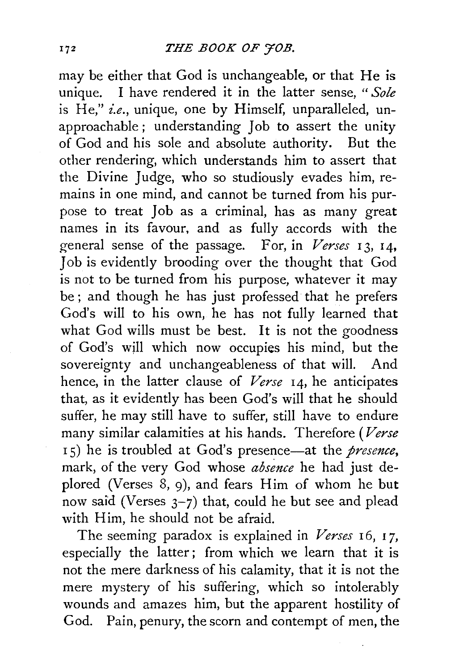may be either that God is unchangeable, or that He is unique. I have rendered it in the latter sense, *"Sole*  is He," *i.e.*, unique, one by Himself, unparalleled, unapproachable ; understanding Job to assert the unity of God and his sole and absolute authority. But the other rendering, which understands him to assert that the Divine Judge, who so studiously evades him, remains in one mind, and cannot be turned from his purpose to treat Job as a criminal, has as many great names in its favour, and as fully accords with the general sense of the passage. For, in *Verses* I 3, 14, Job is evidently brooding over the thought that God is not to be turned from his purpose, whatever it may be ; and though he has just professed that he prefers God's will to his own, he has not fully learned that what God wills must be best. It is not the goodness of God's will which now occupies his mind, but the sovereignty and unchangeableness of that will. And hence, in the latter clause of *Verse* 14, he anticipates that, as it evidently has been God's will that he should suffer, he may still have to suffer, still have to endure many similar calamities at his hands. Therefore *(Verse*  <sup>I</sup>5) he is troubled at God's presence-at the *presence,*  mark, of the very God whose *absence* he had just deplored (Verses 8, 9), and fears Him of whom he but now said (Verses 3-7) that, could he but see and plead with Him, he should not be afraid.

The seeming paradox is explained in *Verses* 16, 17, especially the latter; from which we learn that it is not the mere darkness of his calamity, that it is not the mere mystery of his suffering, which so intolerably wounds and amazes him, but the apparent hostility of God. Pain, penury, the scorn and contempt of men, the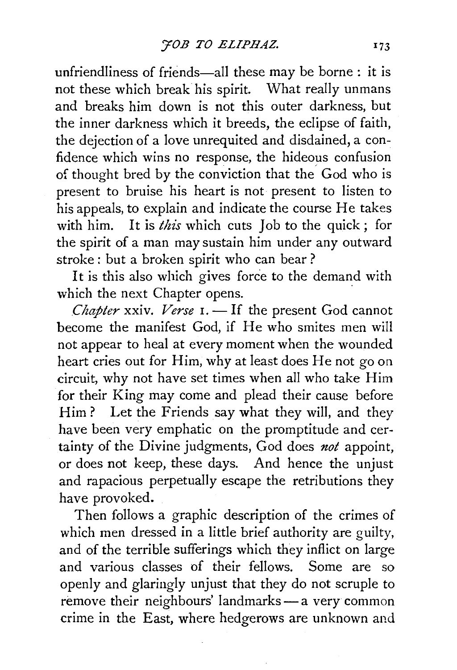unfriendliness of friends-all these may be borne : it is not these which break his spirit. What really unmans and breaks him down is not this outer darkness, but the inner darkness which it breeds, the eclipse of faith, the dejection of a love unrequited and disdained, a confidence which wins no response, the hideous confusion of thought bred by the conviction that the God who is present to bruise his heart is not· present to listen to his appeals, to explain and indicate the course He takes with him. It is *this* which cuts Job to the quick; for the spirit of a man may sustain him under any outward stroke : but a broken spirit who can bear ?

It is this also which gives force to the demand with which the next Chapter opens.

*Chapter xxiv. Verse 1.* - If the present God cannot become the manifest God, if He who smites men will not appear to heal at every moment when the wounded heart cries out for Him, why at least does He not go on circuit, why not have set times when all who take Him for their King may come and plead their cause before Him? Let the Friends say what they will, and they have been very emphatic on the promptitude and certainty of the Divine judgments, God does *not* appoint, or does not keep, these days. And hence the unjust and rapacious perpetually escape the retributions they have provoked.

Then follows a graphic description of the crimes of which men dressed in a little brief authority are guilty, and of the terrible sufferings which they inflict on large and various classes of their fellows. Some are so openly and glaringly unjust that they do not scruple to remove their neighbours' landmarks - a very common crime in the East, where hedgerows are unknown and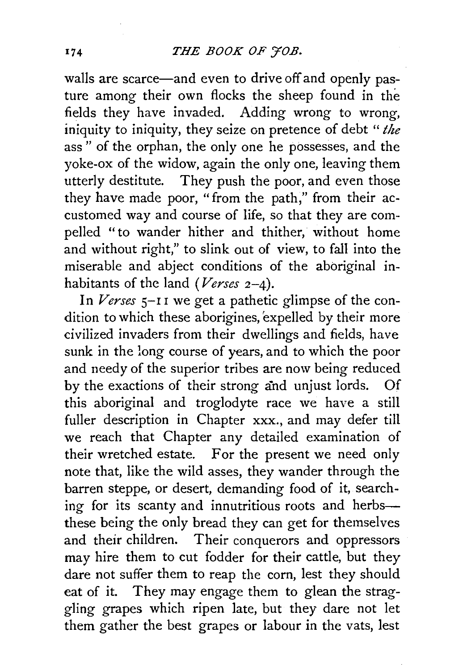walls are scarce—and even to drive off and openly pasture among their own flocks the sheep found in the fields they have invaded. Adding wrong to wrong, iniquity to iniquity, they seize on pretence of debt *"the*  ass " of the orphan, the only one he possesses, and the yoke-ox of the widow, again the only one, leaving them utterly destitute. They push the poor, and even those they have made poor, "from the path," from their accustomed way and course of life, so that they are compelled "to wander hither and thither, without home and without right," to slink out of view, to fall into the miserable and abject conditions of the aboriginal inhabitants of the land *(Verses* 2-4).

In *Verses* s-r I we get a pathetic glimpse of the condition to which these aborigines, expelled by their more civilized invaders from their dwellings and fields, have sunk in the long course of years, and to which the poor and needy of the superior tribes are now being reduced by the exactions of their strong and unjust lords. Of this aboriginal and troglodyte race we have a still fuller description in Chapter xxx., and may defer till we reach that Chapter any detailed examination of their wretched estate. For the present we need only note that, like the wild asses, they wander through the barren steppe, or desert, demanding food of it, searching for its scanty and innutritious roots and herbsthese being the only bread they can get for themselves and their children. Their conquerors and oppressors may hire them to cut fodder for their cattle, but they dare not suffer them to reap the corn, lest they should eat of it. They may engage them to glean the straggling grapes which ripen late, but they dare not let them gather the best grapes or labour in the vats, lest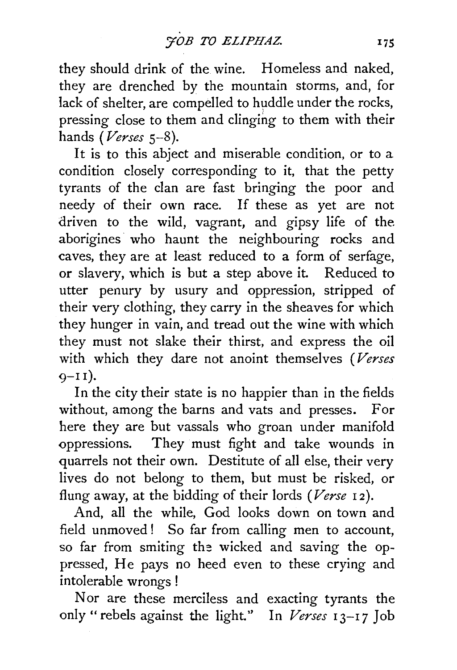they should drink of the wine. Homeless and naked, they are drenched by the mountain storms, and, for lack of shelter, are compelled to huddle under the rocks, pressing close to them and clinging to them with their hands *(Verses* 5-8).

It is to this abject and miserable condition, or to a condition closely corresponding to it, that the petty tyrants of the clan are fast bringing the poor and needy of their own race. If these as yet are not driven to the wild, vagrant, and gipsy life of the aborigines who haunt the neighbouring rocks and caves, they are at least reduced to a form of serfage, or slavery, which is but a step above it. Reduced to utter penury by usury and oppression, stripped of their very clothing, they carry in the sheaves for which they hunger in vain, and tread out the wine with which they must not slake their thirst, and express the oil with which they dare not anoint themselves *(Verses*   $Q-II$ ).

In the city their state is no happier than in the fields without, among the barns and vats and presses. For here they are but vassals who groan under manifold oppressions. They must fight and take wounds in quarrels not their own. Destitute of all else, their very lives do not belong to them, but must be risked, or flung away, at the bidding of their lords *(Verse* r2).

And, all the while, God looks down on town and field unmoved ! So far from calling men to account, so far from smiting the wicked and saving the oppressed, He pays no heed even to these crying and intolerable wrongs !

Nor are these merciless and exacting tyrants the only "rebels against the light." In *Verses* 13-17 Job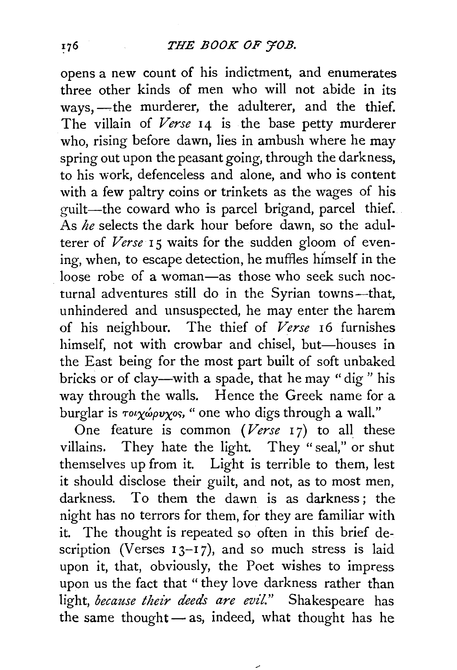## *THE BOOK OF YOB.*

opens a new count of his indictment, and enumerates three other kinds of men who will not abide in its ways, --- the murderer, the adulterer, and the thief. The villain of Verse 14 is the base petty murderer who, rising before dawn, lies in ambush where he may spring out upon the peasant going, through the darkness, to his work, defenceless and alone, and who is content with a few paltry coins or trinkets as the wages of his guilt-the coward who is parcel brigand, parcel thief. As *he* selects the dark hour before dawn, so the adulterer of *Verse* 15 waits for the sudden gloom of evening, when, to escape detection, he muffles himself in the loose robe of a woman-as those who seek such nocturnal adventures still do in the Syrian towns-that, unhindered and unsuspected, he may enter the harem of his neighbour. The thief of *Verse* I6 furnishes himself, not with crowbar and chisel, but-houses in the East being for the most part built of soft unbaked bricks or of clay-with a spade, that he may "dig " his way through the walls. Hence the Greek name for a burglar is  $\tau o \chi \omega \rho \nu \chi o s$ , "one who digs through a wall."

One feature is common *(Verse* 17) to all these villains. They hate the light. They "seal," or shut themselves up from it. Light is terrible to them, lest it should disclose their guilt, and not, as to most men, darkness. To them the dawn is as darkness: the night has no terrors for them, for they are familiar with it. The thought is repeated so often in this brief description (Verses  $13-17$ ), and so much stress is laid upon it, that, obviously, the Poet wishes to impress upon us the fact that " they love darkness rather than light, *because their deeds are evil."* Shakespeare has the same thought $-$  as, indeed, what thought has he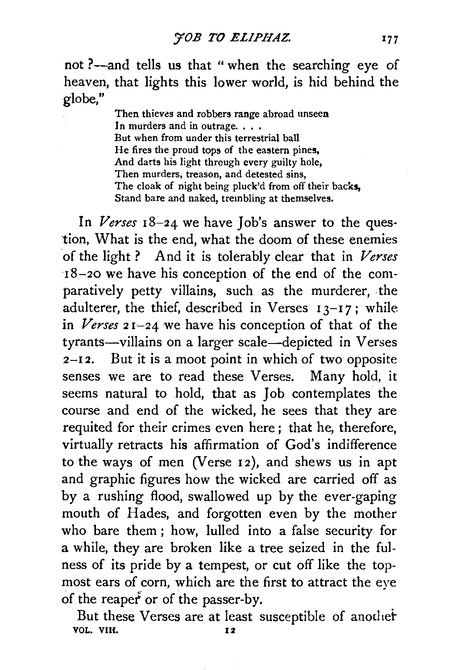not ?--and tells us that " when the searching eye of heaven, that lights this lower world, is hid behind the globe,"

> Then thieves and robbers range abroad unseen In murders and in outrage... But when from under this terrestrial ball He fires the proud tops of the eastern pines, And darts his light through every guilty hole, Then murders, treason, and detested sins, The cloak of night being pluck'd from off their backs. Stand bare and naked, trembling at themselves.

In *Verses* 18-24 we have Job's answer to the question, What is the end, what the doom of these enemies of the light ? And it is tolerably clear that in *Verses*  18-20 we have his conception of the end of the comparatively petty villains, such as the murderer, the adulterer, the thief, described in Verses  $13-17$ ; while in *Verses* <sup>2</sup>1~24 we have his conception of that of the tyrants-villains on a larger scale-depicted in Verses  $2-12$ . But it is a moot point in which of two opposite senses we are to read these Verses. Many hold, it seems natural to hold, that as Job contemplates the course and end of the wicked, he sees that they are requited for their crimes even here ; that he, therefore, virtually retracts his affirmation of God's indifference to the ways of men (Verse 12), and shews us in apt and graphic figures how the wicked are carried off as by a rushing flood, swallowed up by the ever-gaping mouth of Hades, and forgotten even by the mother who bare them ; how, lulled into a false security for a while, they are broken like a tree seized in the fulness of its pride by a tempest, or cut off like the topmost ears of corn, which are the first to attract the eye of the reapef or of the passer-by.

But these Verses are at least susceptible of another VOL. VIH. 12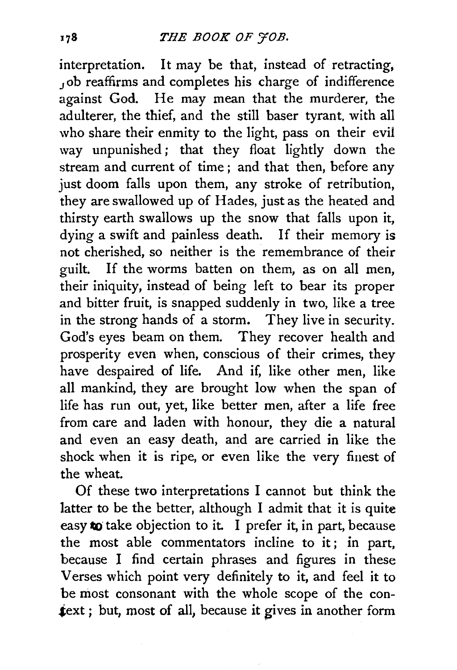interpretation. It may be that, instead of retracting, Job reaffirms and completes his charge of indifference against God. He may mean that the murderer, the adulterer, the thief, and the still baser tyrant, with all who share their enmity to the light, pass on their evil way unpunished; that they float lightly down the stream and current of time ; and that then, before any just doom falls upon them, any stroke of retribution, they are swallowed up of Hades, just as the heated and thirsty earth swallows up the snow that falls upon it, dying a swift and painless death. If their memory is not cherished, so neither is the remembrance of their guilt. If the worms batten on them, as on all men, their iniquity, instead of being left to bear its proper and bitter fruit, is snapped suddenly in two, like a tree in the strong hands of a storm. They live in security. God's eyes beam on them. They recover health and prosperity even when, conscious of their crimes, they have despaired of life. And if, like other men, like all mankind, they are brought low when the span of life has run out, yet, like better men, after a life free from care and laden with honour, they die a natural and even an easy death, and are carried in like the shock when it is ripe, or even like the very finest of the wheat.

Of these two interpretations I cannot but think the latter to be the better, although I admit that it is quite easy to take objection to it. I prefer it, in part, because the most able commentators incline to it; in part, because I find certain phrases and figures in these Verses which point very definitely to it, and feel it to be most consonant with the whole scope of the con text; but, most of all, because it gives in another form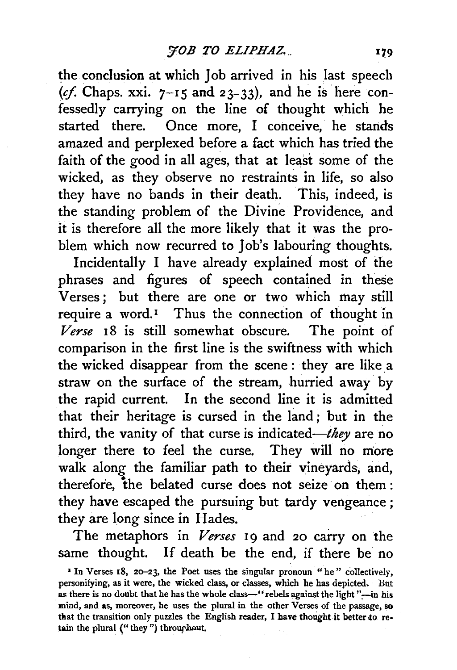the conclusion at which Job arrived in his last speech (cf. Chaps. xxi.  $7-15$  and  $23-33$ ), and he is here confessedly carrying on the line of thought which he started there. Once more, I conceive, he stands amazed and perplexed before a fact which has tried the faith of the good in all ages, that at least some of the wicked, as they observe no restraints in life, so also they have no bands in their death. This, indeed, is the standing problem of the Divine Providence, and it is therefore all the more likely that it was the problem which now recurred to Job's labouring thoughts.

Incidentally I have already explained most of the phrases and figures of speech contained in these Verses; but there are one or two which may still require a word.<sup>1</sup> Thus the connection of thought in Verse 18 is still somewhat obscure. The point of comparison in the first line is the swiftness with which the wicked disappear from the scene : they are like a straw on the surface of the stream, hurried away by the rapid current. In the second line it is admitted that their heritage is cursed in the land ; but in the third, the vanity of that curse is indicated—they are no longer there to feel the curse. They will no more walk along the familiar path to their vineyards, and, therefore, the belated curse does not seize on them : they have escaped the pursuing but tardy vengeance ; they are long since in Hades.

The metaphors in *Verses* 19 and 20 carry on the same thought. If death be the end, if there be no

<sup>&</sup>lt;sup>1</sup> In Verses 18, 20-23, the Poet uses the singular pronoun "he" collectively, personifying, as it were, the wicked class, or classes, which he has depicted. But as there is no doubt that he has the whole class-"rebels against the light "-in his mind, and as, moreover, he uses the plural in the other Verses of the passage, so that the transition only puzzles the English reader, I have thought it better to retain the plural ("they") throughout.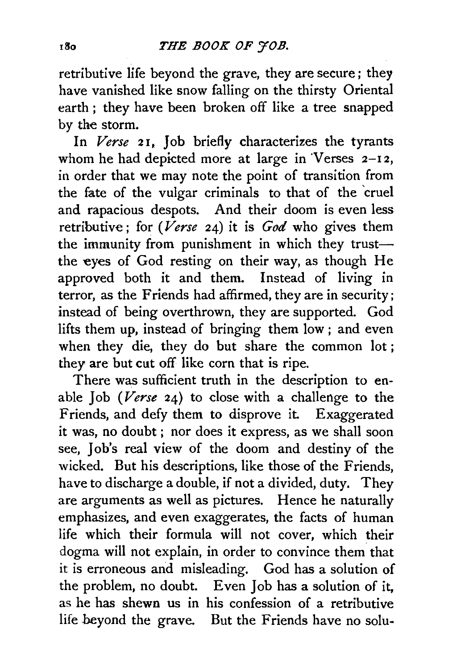retributive life beyond the grave, they are secure; they have vanished like snow falling on the thirsty Oriental earth; they have been broken off like a tree snapped by the storm.

In *Verse* 21, Job briefly characterizes the tyrants whom he had depicted more at large in Verses  $2-12$ , in order that we may note the point of transition from the fate of the vulgar criminals to that of the 'cruel and rapacious despots. And their doom is even less retributive; for *(Verse* 24) it is *God* who gives them the immunity from punishment in which they trustthe eyes of God resting on their way, as though He approved both it and them. Instead of living in terror, as the Friends had affirmed, they are in security; instead of being overthrown, they are supported. God lifts them up, instead of bringing them low ; and even when they die, they do but share the common lot; they are but cut off like corn that is ripe.

There was sufficient truth in the description to enable Job *(Verse* 24) to close with a challenge to the Friends, and defy them to disprove it. Exaggerated it was, no doubt ; nor does it express, as we shall soon see, Job's real view of the doom and destiny of the wicked. But his descriptions, like those of the Friends, have to discharge a double, if not a divided, duty. They are arguments as well as pictures. Hence he naturally emphasizes, and even exaggerates, the facts of human life which their formula will not cover, which their dogma will not explain, in order to convince them that it is erroneous and misleading. God has a solution of the problem, no doubt. Even Job has a solution of it, as he has shewn us in his confession of a retributive life beyond the grave. But the Friends have no solu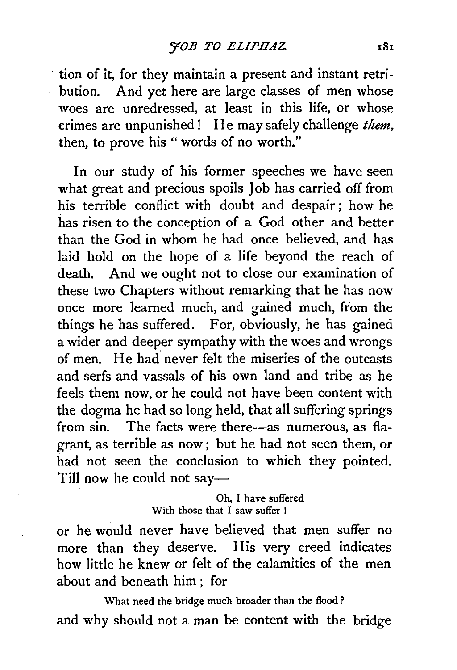tion of it, for they maintain a present and instant retribution. And yet here are large classes of men whose woes are unredressed, at least in this life, or whose crimes are unpunished! He may safely challenge *them,*  then, to prove his "words of no worth."

In our study of his former speeches we have seen what great and precious spoils Job has carried off from his terrible conflict with doubt and despair; how he has risen to the conception of a God other and better than the God in whom he had once believed, and has laid hold on the hope of a life beyond the reach of death. And we ought not to close our examination of these two Chapters without remarking that he has now once more learned much, and gained much, from the things he has suffered. For, obviously, he has gained a wider and deeper sympathy with the woes and wrongs of men. He had' never felt the miseries of the outcasts and serfs and vassals of his own land and tribe as he feels them now, or he could not have been content with the dogma he had so long held, that all suffering springs from sin. The facts were there--as numerous, as flagrant, as terrible as now ; but he had not seen them, or had not seen the conclusion to which they pointed. Till now he could not say-

> Oh, I have suffered With those that I saw suffer !

or he would never have believed that men suffer no more than they deserve. His very creed indicates how little he knew or felt of the calamities of the men about and beneath him ; for

What need the bridge much broader than the flood? and why should not a man be content with the bridge